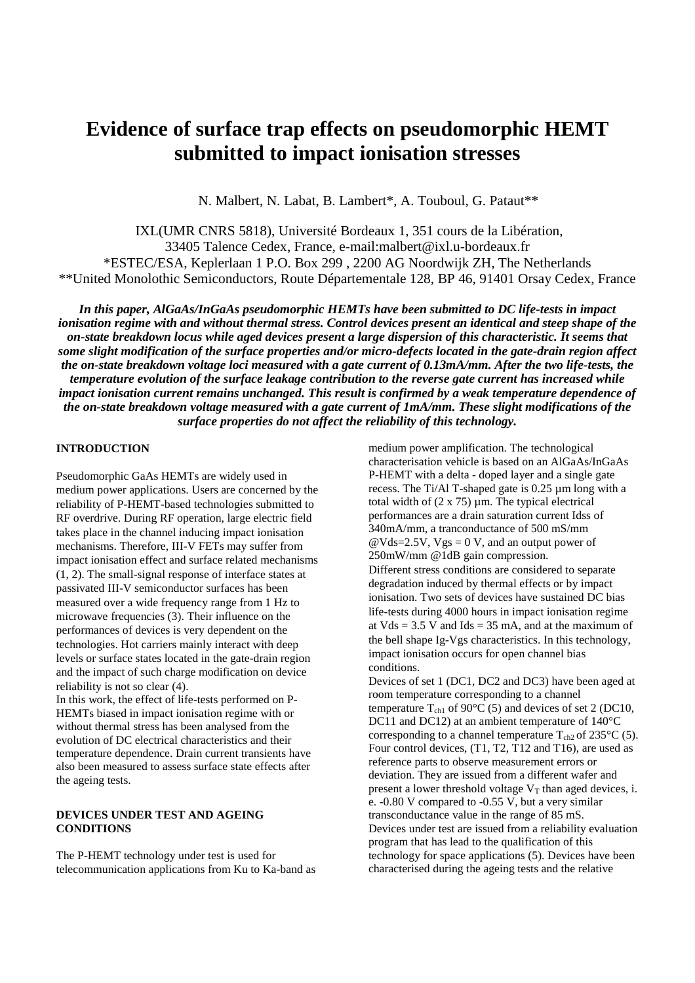# **Evidence of surface trap effects on pseudomorphic HEMT submitted to impact ionisation stresses**

N. Malbert, N. Labat, B. Lambert\*, A. Touboul, G. Pataut\*\*

IXL(UMR CNRS 5818), Université Bordeaux 1, 351 cours de la Libération, 33405 Talence Cedex, France, e-mail:malbert@ixl.u-bordeaux.fr \*ESTEC/ESA, Keplerlaan 1 P.O. Box 299 , 2200 AG Noordwijk ZH, The Netherlands \*\*United Monolothic Semiconductors, Route Départementale 128, BP 46, 91401 Orsay Cedex, France

*In this paper, AlGaAs/InGaAs pseudomorphic HEMTs have been submitted to DC life-tests in impact* ionisation regime with and without thermal stress. Control devices present an identical and steep shape of the *on-state breakdown locus while aged devices present a large dispersion of this characteristic. It seems that some slight modification of the surface properties and/or micro-defects located in the gate-drain region affect* the on-state breakdown voltage loci measured with a gate current of 0.13mA/mm. After the two life-tests, the *temperature evolution of the surface leakage contribution to the reverse gate current has increased while impact ionisation current remains unchanged. This result is confirmed by a weak temperature dependence of the on-state breakdown voltage measured with a gate current of 1mA/mm. These slight modifications of the surface properties do not affect the reliability of this technology.*

#### **INTRODUCTION**

Pseudomorphic GaAs HEMTs are widely used in medium power applications. Users are concerned by the reliability of P-HEMT-based technologies submitted to RF overdrive. During RF operation, large electric field takes place in the channel inducing impact ionisation mechanisms. Therefore, III-V FETs may suffer from impact ionisation effect and surface related mechanisms (1, 2). The small-signal response of interface states at passivated III-V semiconductor surfaces has been measured over a wide frequency range from 1 Hz to microwave frequencies (3). Their influence on the performances of devices is very dependent on the technologies. Hot carriers mainly interact with deep levels or surface states located in the gate-drain region and the impact of such charge modification on device reliability is not so clear (4).

In this work, the effect of life-tests performed on P-HEMTs biased in impact ionisation regime with or without thermal stress has been analysed from the evolution of DC electrical characteristics and their temperature dependence. Drain current transients have also been measured to assess surface state effects after the ageing tests.

## **DEVICES UNDER TEST AND AGEING CONDITIONS**

The P-HEMT technology under test is used for telecommunication applications from Ku to Ka-band as

medium power amplification. The technological characterisation vehicle is based on an AlGaAs/InGaAs P-HEMT with a delta - doped layer and a single gate recess. The Ti/Al T-shaped gate is 0.25 µm long with a total width of  $(2 \times 75)$  µm. The typical electrical performances are a drain saturation current Idss of 340mA/mm, a tranconductance of 500 mS/mm  $@Vds=2.5V, Vgs = 0 V, and an output power of$ 250mW/mm @1dB gain compression. Different stress conditions are considered to separate degradation induced by thermal effects or by impact ionisation. Two sets of devices have sustained DC bias life-tests during 4000 hours in impact ionisation regime at  $Vds = 3.5$  V and  $Ids = 35$  mA, and at the maximum of the bell shape Ig-Vgs characteristics. In this technology, impact ionisation occurs for open channel bias

conditions. Devices of set 1 (DC1, DC2 and DC3) have been aged at room temperature corresponding to a channel temperature  $T_{ch1}$  of 90 $^{\circ}$ C (5) and devices of set 2 (DC10, DC11 and DC12) at an ambient temperature of 140°C corresponding to a channel temperature  $T_{ch2}$  of 235°C (5). Four control devices, (T1, T2, T12 and T16), are used as reference parts to observe measurement errors or deviation. They are issued from a different wafer and present a lower threshold voltage  $V_T$  than aged devices, i. e. -0.80 V compared to -0.55 V, but a very similar transconductance value in the range of 85 mS. Devices under test are issued from a reliability evaluation program that has lead to the qualification of this technology for space applications (5). Devices have been characterised during the ageing tests and the relative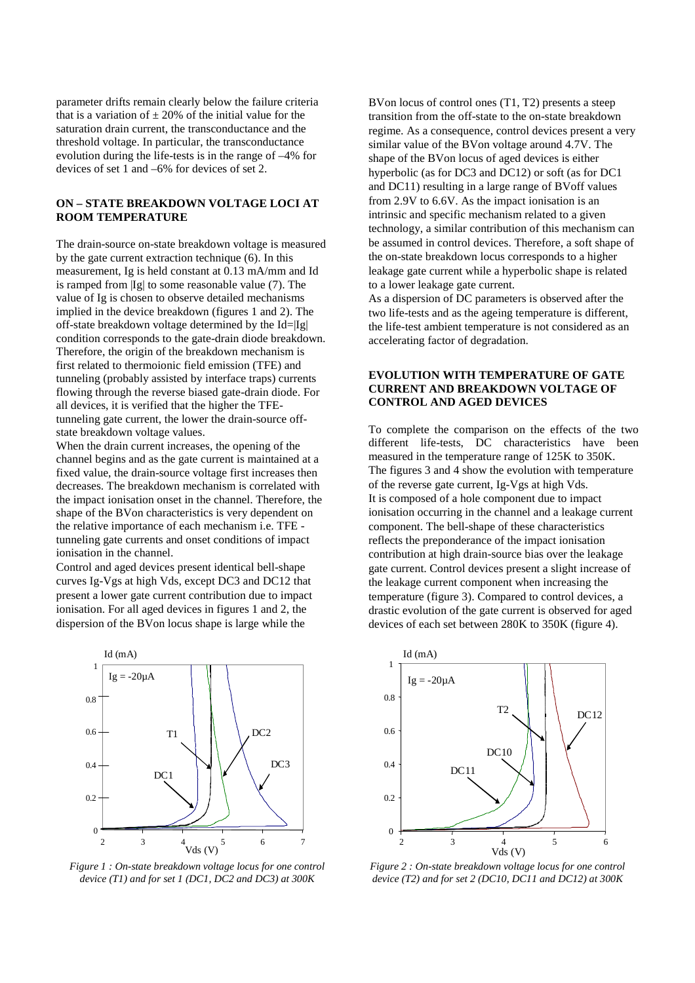parameter drifts remain clearly below the failure criteria that is a variation of  $\pm$  20% of the initial value for the saturation drain current, the transconductance and the threshold voltage. In particular, the transconductance evolution during the life-tests is in the range of –4% for devices of set  $1$  and  $-6\%$  for devices of set 2.

## **ON – STATE BREAKDOWN VOLTAGE LOCI AT ROOM TEMPERATURE**

The drain-source on-state breakdown voltage is measured by the gate current extraction technique (6). In this measurement, Ig is held constant at 0.13 mA/mm and Id is ramped from |Ig| to some reasonable value (7). The value of Ig is chosen to observe detailed mechanisms implied in the device breakdown (figures 1 and 2). The off-state breakdown voltage determined by the Id=|Ig| condition corresponds to the gate-drain diode breakdown. Therefore, the origin of the breakdown mechanism is first related to thermoionic field emission (TFE) and tunneling (probably assisted by interface traps) currents flowing through the reverse biased gate-drain diode. For all devices, it is verified that the higher the TFEtunneling gate current, the lower the drain-source offstate breakdown voltage values.

When the drain current increases, the opening of the channel begins and as the gate current is maintained at a fixed value, the drain-source voltage first increases then decreases. The breakdown mechanism is correlated with the impact ionisation onset in the channel. Therefore, the shape of the BVon characteristics is very dependent on the relative importance of each mechanism i.e. TFE tunneling gate currents and onset conditions of impact ionisation in the channel.

Control and aged devices present identical bell-shape curves Ig-Vgs at high Vds, except DC3 and DC12 that present a lower gate current contribution due to impact ionisation. For all aged devices in figures 1 and 2, the dispersion of the BVon locus shape is large while the



*Figure 1 : On-state breakdown voltage locus for one control device (T1) and for set 1 (DC1, DC2 and DC3) at 300K*

BVon locus of control ones (T1, T2) presents a steep transition from the off-state to the on-state breakdown regime. As a consequence, control devices present a very similar value of the BVon voltage around 4.7V. The shape of the BVon locus of aged devices is either hyperbolic (as for DC3 and DC12) or soft (as for DC1 and DC11) resulting in a large range of BVoff values from 2.9V to 6.6V. As the impact ionisation is an intrinsic and specific mechanism related to a given technology, a similar contribution of this mechanism can be assumed in control devices. Therefore, a soft shape of the on-state breakdown locus corresponds to a higher leakage gate current while a hyperbolic shape is related to a lower leakage gate current.

As a dispersion of DC parameters is observed after the two life-tests and as the ageing temperature is different, the life-test ambient temperature is not considered as an accelerating factor of degradation.

#### **EVOLUTION WITH TEMPERATURE OF GATE CURRENT AND BREAKDOWN VOLTAGE OF CONTROL AND AGED DEVICES**

To complete the comparison on the effects of the two different life-tests, DC characteristics have been measured in the temperature range of 125K to 350K. The figures 3 and 4 show the evolution with temperature of the reverse gate current, Ig-Vgs at high Vds. It is composed of a hole component due to impact ionisation occurring in the channel and a leakage current component. The bell-shape of these characteristics reflects the preponderance of the impact ionisation contribution at high drain-source bias over the leakage gate current. Control devices present a slight increase of the leakage current component when increasing the temperature (figure 3). Compared to control devices, a drastic evolution of the gate current is observed for aged devices of each set between 280K to 350K (figure 4).



*Figure 2 : On-state breakdown voltage locus for one control device (T2) and for set 2 (DC10, DC11 and DC12) at 300K*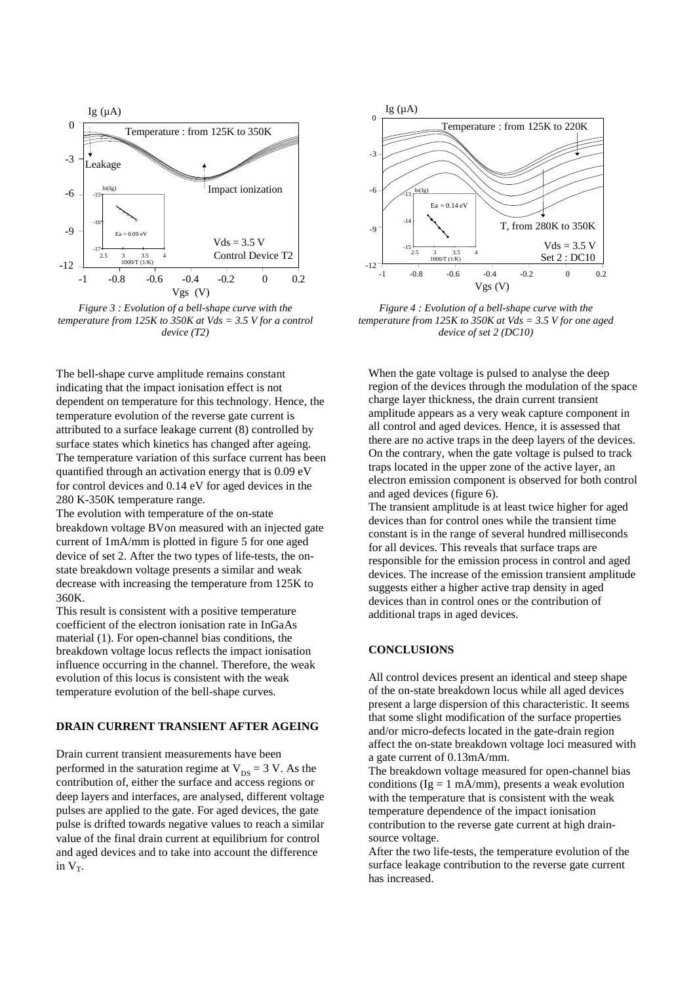

*Figure 3 : Evolution of a bell-shape curve with the temperature from 125K to 350K at Vds = 3.5 V for a control device (T2)*

The bell-shape curve amplitude remains constant indicating that the impact ionisation effect is not dependent on temperature for this technology. Hence, the temperature evolution of the reverse gate current is attributed to a surface leakage current (8) controlled by surface states which kinetics has changed after ageing. The temperature variation of this surface current has been quantified through an activation energy that is 0.09 eV for control devices and 0.14 eV for aged devices in the 280 K-350K temperature range.

The evolution with temperature of the on-state breakdown voltage BVon measured with an injected gate current of 1mA/mm is plotted in figure 5 for one aged device of set 2. After the two types of life-tests, the onstate breakdown voltage presents a similar and weak decrease with increasing the temperature from 125K to 360K.

This result is consistent with a positive temperature coefficient of the electron ionisation rate in InGaAs material (1). For open-channel bias conditions, the breakdown voltage locus reflects the impact ionisation influence occurring in the channel. Therefore, the weak evolution of this locus is consistent with the weak temperature evolution of the bell-shape curves.

#### **DRAIN CURRENT TRANSIENT AFTER AGEING**

Drain current transient measurements have been performed in the saturation regime at  $V_{DS} = 3 V$ . As the contribution of, either the surface and access regions or deep layers and interfaces, are analysed, different voltage pulses are applied to the gate. For aged devices, the gate pulse is drifted towards negative values to reach a similar value of the final drain current at equilibrium for control and aged devices and to take into account the difference in  $V_T$ .



*Figure 4 : Evolution of a bell-shape curve with the temperature from 125K to 350K at Vds = 3.5 V for one aged device of set 2 (DC10)*

When the gate voltage is pulsed to analyse the deep region of the devices through the modulation of the space charge layer thickness, the drain current transient amplitude appears as a very weak capture component in all control and aged devices. Hence, it is assessed that there are no active traps in the deep layers of the devices. On the contrary, when the gate voltage is pulsed to track traps located in the upper zone of the active layer, an electron emission component is observed for both control and aged devices (figure 6).

The transient amplitude is at least twice higher for aged devices than for control ones while the transient time constant is in the range of several hundred milliseconds for all devices. This reveals that surface traps are responsible for the emission process in control and aged devices. The increase of the emission transient amplitude suggests either a higher active trap density in aged devices than in control ones or the contribution of additional traps in aged devices.

### **CONCLUSIONS**

All control devices present an identical and steep shape of the on-state breakdown locus while all aged devices present a large dispersion of this characteristic. It seems that some slight modification of the surface properties and/or micro-defects located in the gate-drain region affect the on-state breakdown voltage loci measured with a gate current of 0.13mA/mm.

The breakdown voltage measured for open-channel bias conditions ( $Ig = 1$  mA/mm), presents a weak evolution with the temperature that is consistent with the weak temperature dependence of the impact ionisation contribution to the reverse gate current at high drainsource voltage.

After the two life-tests, the temperature evolution of the surface leakage contribution to the reverse gate current has increased.